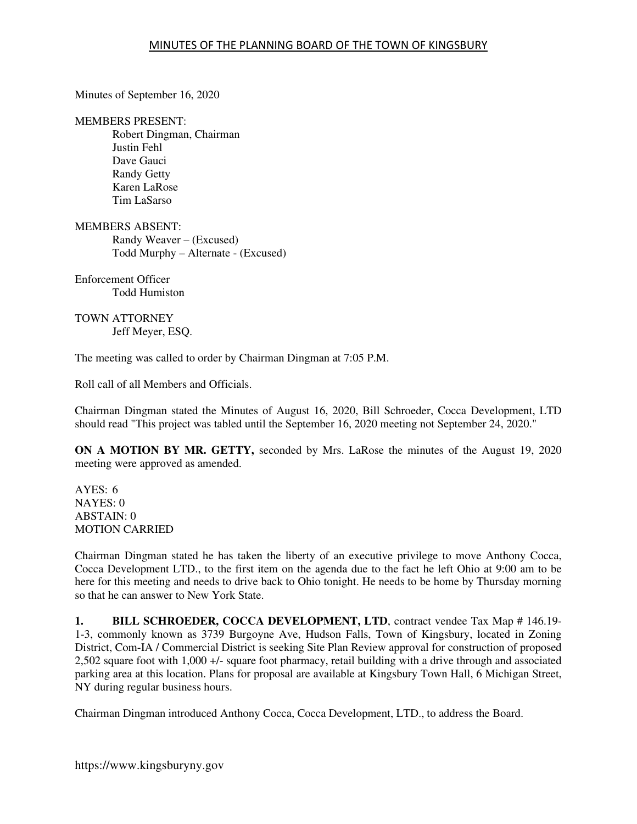Minutes of September 16, 2020

#### MEMBERS PRESENT:

Robert Dingman, Chairman Justin Fehl Dave Gauci Randy Getty Karen LaRose Tim LaSarso

MEMBERS ABSENT: Randy Weaver – (Excused) Todd Murphy – Alternate - (Excused)

Enforcement Officer Todd Humiston

TOWN ATTORNEY Jeff Meyer, ESQ.

The meeting was called to order by Chairman Dingman at 7:05 P.M.

Roll call of all Members and Officials.

Chairman Dingman stated the Minutes of August 16, 2020, Bill Schroeder, Cocca Development, LTD should read "This project was tabled until the September 16, 2020 meeting not September 24, 2020."

**ON A MOTION BY MR. GETTY,** seconded by Mrs. LaRose the minutes of the August 19, 2020 meeting were approved as amended.

 $AYES: 6$ NAYES: 0 ABSTAIN: 0 MOTION CARRIED

Chairman Dingman stated he has taken the liberty of an executive privilege to move Anthony Cocca, Cocca Development LTD., to the first item on the agenda due to the fact he left Ohio at 9:00 am to be here for this meeting and needs to drive back to Ohio tonight. He needs to be home by Thursday morning so that he can answer to New York State.

**1. BILL SCHROEDER, COCCA DEVELOPMENT, LTD**, contract vendee Tax Map # 146.19-1-3, commonly known as 3739 Burgoyne Ave, Hudson Falls, Town of Kingsbury, located in Zoning District, Com-IA / Commercial District is seeking Site Plan Review approval for construction of proposed 2,502 square foot with 1,000 +/- square foot pharmacy, retail building with a drive through and associated parking area at this location. Plans for proposal are available at Kingsbury Town Hall, 6 Michigan Street, NY during regular business hours.

Chairman Dingman introduced Anthony Cocca, Cocca Development, LTD., to address the Board.

https://www.kingsburyny.gov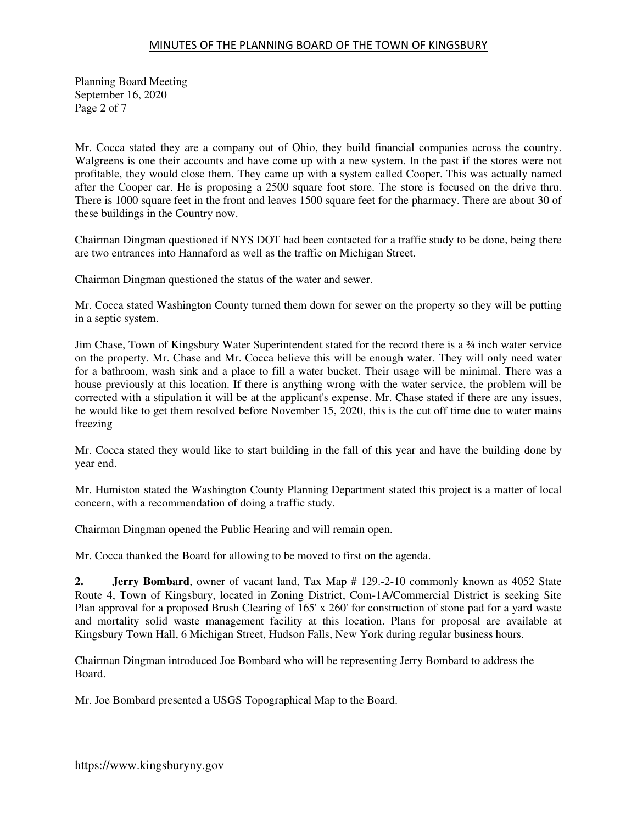Planning Board Meeting September 16, 2020 Page 2 of 7

Mr. Cocca stated they are a company out of Ohio, they build financial companies across the country. Walgreens is one their accounts and have come up with a new system. In the past if the stores were not profitable, they would close them. They came up with a system called Cooper. This was actually named after the Cooper car. He is proposing a 2500 square foot store. The store is focused on the drive thru. There is 1000 square feet in the front and leaves 1500 square feet for the pharmacy. There are about 30 of these buildings in the Country now.

Chairman Dingman questioned if NYS DOT had been contacted for a traffic study to be done, being there are two entrances into Hannaford as well as the traffic on Michigan Street.

Chairman Dingman questioned the status of the water and sewer.

Mr. Cocca stated Washington County turned them down for sewer on the property so they will be putting in a septic system.

Jim Chase, Town of Kingsbury Water Superintendent stated for the record there is a ¾ inch water service on the property. Mr. Chase and Mr. Cocca believe this will be enough water. They will only need water for a bathroom, wash sink and a place to fill a water bucket. Their usage will be minimal. There was a house previously at this location. If there is anything wrong with the water service, the problem will be corrected with a stipulation it will be at the applicant's expense. Mr. Chase stated if there are any issues, he would like to get them resolved before November 15, 2020, this is the cut off time due to water mains freezing

Mr. Cocca stated they would like to start building in the fall of this year and have the building done by year end.

Mr. Humiston stated the Washington County Planning Department stated this project is a matter of local concern, with a recommendation of doing a traffic study.

Chairman Dingman opened the Public Hearing and will remain open.

Mr. Cocca thanked the Board for allowing to be moved to first on the agenda.

**2. Jerry Bombard**, owner of vacant land, Tax Map # 129.-2-10 commonly known as 4052 State Route 4, Town of Kingsbury, located in Zoning District, Com-1A/Commercial District is seeking Site Plan approval for a proposed Brush Clearing of 165' x 260' for construction of stone pad for a yard waste and mortality solid waste management facility at this location. Plans for proposal are available at Kingsbury Town Hall, 6 Michigan Street, Hudson Falls, New York during regular business hours.

Chairman Dingman introduced Joe Bombard who will be representing Jerry Bombard to address the Board.

Mr. Joe Bombard presented a USGS Topographical Map to the Board.

https://www.kingsburyny.gov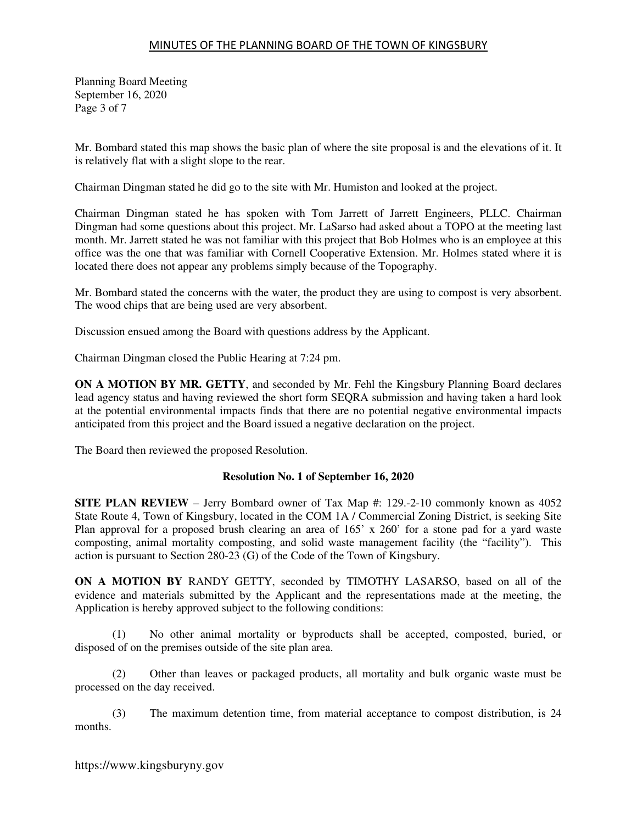Planning Board Meeting September 16, 2020 Page 3 of 7

Mr. Bombard stated this map shows the basic plan of where the site proposal is and the elevations of it. It is relatively flat with a slight slope to the rear.

Chairman Dingman stated he did go to the site with Mr. Humiston and looked at the project.

Chairman Dingman stated he has spoken with Tom Jarrett of Jarrett Engineers, PLLC. Chairman Dingman had some questions about this project. Mr. LaSarso had asked about a TOPO at the meeting last month. Mr. Jarrett stated he was not familiar with this project that Bob Holmes who is an employee at this office was the one that was familiar with Cornell Cooperative Extension. Mr. Holmes stated where it is located there does not appear any problems simply because of the Topography.

Mr. Bombard stated the concerns with the water, the product they are using to compost is very absorbent. The wood chips that are being used are very absorbent.

Discussion ensued among the Board with questions address by the Applicant.

Chairman Dingman closed the Public Hearing at 7:24 pm.

**ON A MOTION BY MR. GETTY**, and seconded by Mr. Fehl the Kingsbury Planning Board declares lead agency status and having reviewed the short form SEQRA submission and having taken a hard look at the potential environmental impacts finds that there are no potential negative environmental impacts anticipated from this project and the Board issued a negative declaration on the project.

The Board then reviewed the proposed Resolution.

#### **Resolution No. 1 of September 16, 2020**

**SITE PLAN REVIEW** – Jerry Bombard owner of Tax Map #: 129.-2-10 commonly known as 4052 State Route 4, Town of Kingsbury, located in the COM 1A / Commercial Zoning District, is seeking Site Plan approval for a proposed brush clearing an area of  $165'$  x  $260'$  for a stone pad for a yard waste composting, animal mortality composting, and solid waste management facility (the "facility"). This action is pursuant to Section 280-23 (G) of the Code of the Town of Kingsbury.

**ON A MOTION BY** RANDY GETTY, seconded by TIMOTHY LASARSO, based on all of the evidence and materials submitted by the Applicant and the representations made at the meeting, the Application is hereby approved subject to the following conditions:

(1) No other animal mortality or byproducts shall be accepted, composted, buried, or disposed of on the premises outside of the site plan area.

(2) Other than leaves or packaged products, all mortality and bulk organic waste must be processed on the day received.

(3) The maximum detention time, from material acceptance to compost distribution, is 24 months.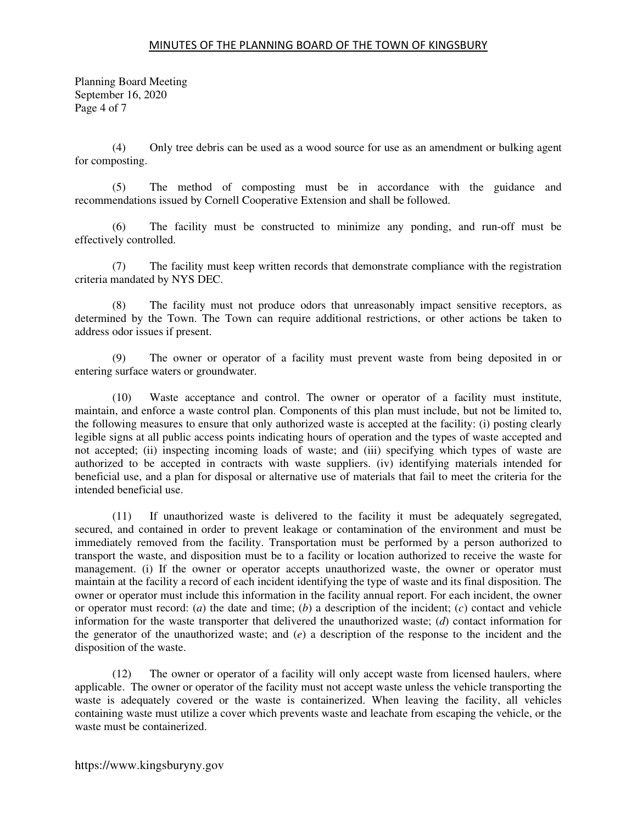Planning Board Meeting September 16, 2020 Page 4 of 7

(4) Only tree debris can be used as a wood source for use as an amendment or bulking agent for composting.

(5) The method of composting must be in accordance with the guidance and recommendations issued by Cornell Cooperative Extension and shall be followed.

(6) The facility must be constructed to minimize any ponding, and run-off must be effectively controlled.

(7) The facility must keep written records that demonstrate compliance with the registration criteria mandated by NYS DEC.

 (8) The facility must not produce odors that unreasonably impact sensitive receptors, as determined by the Town. The Town can require additional restrictions, or other actions be taken to address odor issues if present.

(9) The owner or operator of a facility must prevent waste from being deposited in or entering surface waters or groundwater.

(10) Waste acceptance and control. The owner or operator of a facility must institute, maintain, and enforce a waste control plan. Components of this plan must include, but not be limited to, the following measures to ensure that only authorized waste is accepted at the facility: (i) posting clearly legible signs at all public access points indicating hours of operation and the types of waste accepted and not accepted; (ii) inspecting incoming loads of waste; and (iii) specifying which types of waste are authorized to be accepted in contracts with waste suppliers. (iv) identifying materials intended for beneficial use, and a plan for disposal or alternative use of materials that fail to meet the criteria for the intended beneficial use.

(11) If unauthorized waste is delivered to the facility it must be adequately segregated, secured, and contained in order to prevent leakage or contamination of the environment and must be immediately removed from the facility. Transportation must be performed by a person authorized to transport the waste, and disposition must be to a facility or location authorized to receive the waste for management. (i) If the owner or operator accepts unauthorized waste, the owner or operator must maintain at the facility a record of each incident identifying the type of waste and its final disposition. The owner or operator must include this information in the facility annual report. For each incident, the owner or operator must record: (*a*) the date and time; (*b*) a description of the incident; (*c*) contact and vehicle information for the waste transporter that delivered the unauthorized waste; (*d*) contact information for the generator of the unauthorized waste; and (*e*) a description of the response to the incident and the disposition of the waste.

(12) The owner or operator of a facility will only accept waste from licensed haulers, where applicable. The owner or operator of the facility must not accept waste unless the vehicle transporting the waste is adequately covered or the waste is containerized. When leaving the facility, all vehicles containing waste must utilize a cover which prevents waste and leachate from escaping the vehicle, or the waste must be containerized.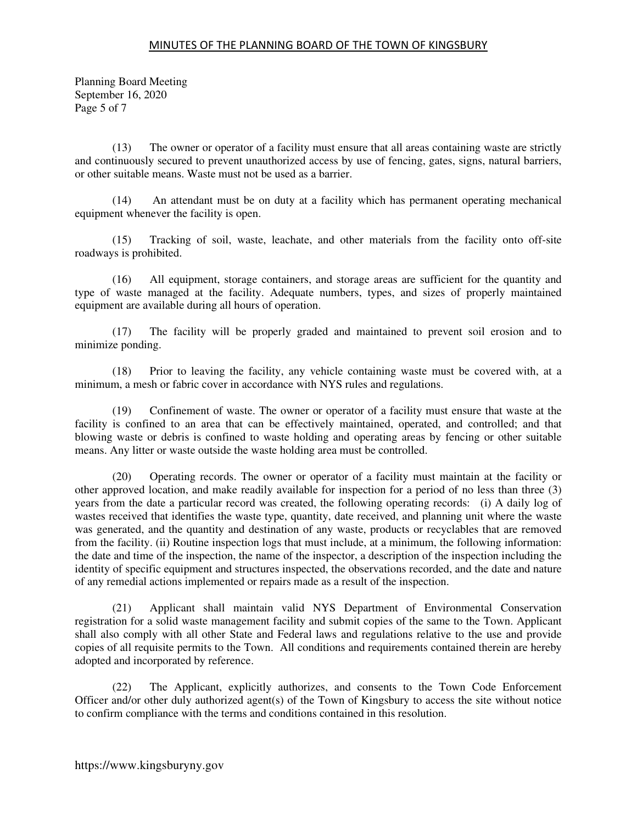Planning Board Meeting September 16, 2020 Page 5 of 7

(13) The owner or operator of a facility must ensure that all areas containing waste are strictly and continuously secured to prevent unauthorized access by use of fencing, gates, signs, natural barriers, or other suitable means. Waste must not be used as a barrier.

(14) An attendant must be on duty at a facility which has permanent operating mechanical equipment whenever the facility is open.

(15) Tracking of soil, waste, leachate, and other materials from the facility onto off-site roadways is prohibited.

(16) All equipment, storage containers, and storage areas are sufficient for the quantity and type of waste managed at the facility. Adequate numbers, types, and sizes of properly maintained equipment are available during all hours of operation.

(17) The facility will be properly graded and maintained to prevent soil erosion and to minimize ponding.

(18) Prior to leaving the facility, any vehicle containing waste must be covered with, at a minimum, a mesh or fabric cover in accordance with NYS rules and regulations.

(19) Confinement of waste. The owner or operator of a facility must ensure that waste at the facility is confined to an area that can be effectively maintained, operated, and controlled; and that blowing waste or debris is confined to waste holding and operating areas by fencing or other suitable means. Any litter or waste outside the waste holding area must be controlled.

(20) Operating records. The owner or operator of a facility must maintain at the facility or other approved location, and make readily available for inspection for a period of no less than three (3) years from the date a particular record was created, the following operating records: (i) A daily log of wastes received that identifies the waste type, quantity, date received, and planning unit where the waste was generated, and the quantity and destination of any waste, products or recyclables that are removed from the facility. (ii) Routine inspection logs that must include, at a minimum, the following information: the date and time of the inspection, the name of the inspector, a description of the inspection including the identity of specific equipment and structures inspected, the observations recorded, and the date and nature of any remedial actions implemented or repairs made as a result of the inspection.

(21) Applicant shall maintain valid NYS Department of Environmental Conservation registration for a solid waste management facility and submit copies of the same to the Town. Applicant shall also comply with all other State and Federal laws and regulations relative to the use and provide copies of all requisite permits to the Town. All conditions and requirements contained therein are hereby adopted and incorporated by reference.

(22) The Applicant, explicitly authorizes, and consents to the Town Code Enforcement Officer and/or other duly authorized agent(s) of the Town of Kingsbury to access the site without notice to confirm compliance with the terms and conditions contained in this resolution.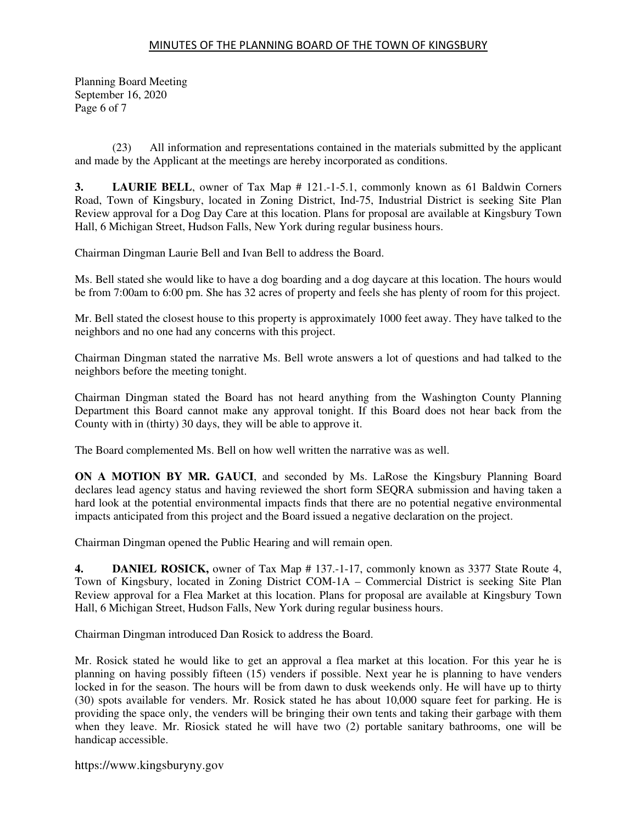Planning Board Meeting September 16, 2020 Page 6 of 7

(23) All information and representations contained in the materials submitted by the applicant and made by the Applicant at the meetings are hereby incorporated as conditions.

**3. LAURIE BELL**, owner of Tax Map # 121.-1-5.1, commonly known as 61 Baldwin Corners Road, Town of Kingsbury, located in Zoning District, Ind-75, Industrial District is seeking Site Plan Review approval for a Dog Day Care at this location. Plans for proposal are available at Kingsbury Town Hall, 6 Michigan Street, Hudson Falls, New York during regular business hours.

Chairman Dingman Laurie Bell and Ivan Bell to address the Board.

Ms. Bell stated she would like to have a dog boarding and a dog daycare at this location. The hours would be from 7:00am to 6:00 pm. She has 32 acres of property and feels she has plenty of room for this project.

Mr. Bell stated the closest house to this property is approximately 1000 feet away. They have talked to the neighbors and no one had any concerns with this project.

Chairman Dingman stated the narrative Ms. Bell wrote answers a lot of questions and had talked to the neighbors before the meeting tonight.

Chairman Dingman stated the Board has not heard anything from the Washington County Planning Department this Board cannot make any approval tonight. If this Board does not hear back from the County with in (thirty) 30 days, they will be able to approve it.

The Board complemented Ms. Bell on how well written the narrative was as well.

**ON A MOTION BY MR. GAUCI**, and seconded by Ms. LaRose the Kingsbury Planning Board declares lead agency status and having reviewed the short form SEQRA submission and having taken a hard look at the potential environmental impacts finds that there are no potential negative environmental impacts anticipated from this project and the Board issued a negative declaration on the project.

Chairman Dingman opened the Public Hearing and will remain open.

**4. DANIEL ROSICK,** owner of Tax Map # 137.-1-17, commonly known as 3377 State Route 4, Town of Kingsbury, located in Zoning District COM-1A – Commercial District is seeking Site Plan Review approval for a Flea Market at this location. Plans for proposal are available at Kingsbury Town Hall, 6 Michigan Street, Hudson Falls, New York during regular business hours.

Chairman Dingman introduced Dan Rosick to address the Board.

Mr. Rosick stated he would like to get an approval a flea market at this location. For this year he is planning on having possibly fifteen (15) venders if possible. Next year he is planning to have venders locked in for the season. The hours will be from dawn to dusk weekends only. He will have up to thirty (30) spots available for venders. Mr. Rosick stated he has about 10,000 square feet for parking. He is providing the space only, the venders will be bringing their own tents and taking their garbage with them when they leave. Mr. Riosick stated he will have two (2) portable sanitary bathrooms, one will be handicap accessible.

https://www.kingsburyny.gov